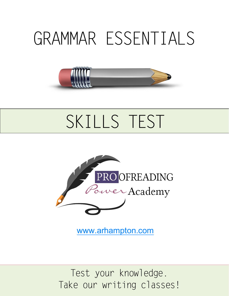## GRAMMAR ESSENTIALS



## SKILLS TEST



www.arhampton.com

Test your knowledge. Take our writing classes!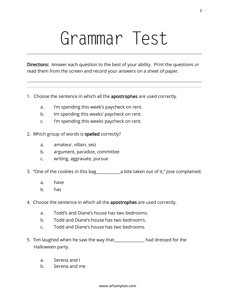# Grammar Test

Directions: Answer each question to the best of your ability. Print the questions or read them from the screen and record your answers on a sheet of paper.

- 1. Choose the sentence in which all the apostrophes are used correctly.
	- a. I'm spending this week's paycheck on rent.
	- b. Im spending this weeks' paycheck on rent.
	- c. I'm spending this weeks paycheck on rent.
- 2. Which group of words is spelled correctly?
	- a. amateur, villain, seiz
	- b. argument, paradize, committee
	- c. writing, aggravate, pursue
- 3. "One of the cookies in this bag a lite taken out of it," Jose complained.
	- a. have
	- b. has
- 4. Choose the sentence in which all the apostrophes are used correctly.
	- a. Todd's and Diane's house has two bedrooms.
	- b. Todd and Diane's house has two bedroom's.
	- c. Todd and Diane's house has two bedrooms.
- 5. Tim laughed when he saw the way that\_\_\_\_\_\_\_\_\_\_\_\_\_\_\_ had dressed for the Halloween party.
	- a. Serena and I
	- b. Serena and me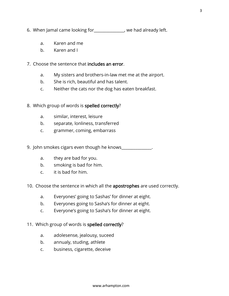- 6. When Jamal came looking for\_\_\_\_\_\_\_\_\_\_\_\_\_\_\_, we had already left.
	- a. Karen and me
	- b. Karen and I
- 7. Choose the sentence that includes an error.
	- a. My sisters and brothers-in-law met me at the airport.
	- b. She is rich, beautiful and has talent.
	- c. Neither the cats nor the dog has eaten breakfast.
- 8. Which group of words is spelled correctly?
	- a. similar, interest, leisure
	- b. separate, lonliness, transferred
	- c. grammer, coming, embarrass
- 9. John smokes cigars even though he knows\_\_\_\_\_\_\_\_\_\_\_\_\_\_\_.
	- a. they are bad for you.
	- b. smoking is bad for him.
	- c. it is bad for him.
- 10. Choose the sentence in which all the apostrophes are used correctly.
	- a. Everyones' going to Sashas' for dinner at eight.
	- b. Everyones going to Sasha's for dinner at eight.
	- c. Everyone's going to Sasha's for dinner at eight.
- 11. Which group of words is spelled correctly?
	- a. adolesense, jealousy, suceed
	- b. annualy, studing, athlete
	- c. business, cigarette, deceive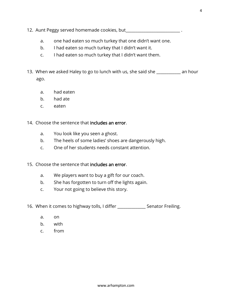- 12. Aunt Peggy served homemade cookies, but
	- a. one had eaten so much turkey that one didn't want one.
	- b. I had eaten so much turkey that I didn't want it.
	- c. I had eaten so much turkey that I didn't want them.
- 13. When we asked Haley to go to lunch with us, she said she \_\_\_\_\_\_\_\_\_\_\_\_ an hour ago.
	- a. had eaten
	- b. had ate
	- c. eaten
- 14. Choose the sentence that includes an error.
	- a. You look like you seen a ghost.
	- b. The heels of some ladies' shoes are dangerously high.
	- c. One of her students needs constant attention.
- 15. Choose the sentence that includes an error.
	- a. We players want to buy a gift for our coach.
	- b. She has forgotten to turn off the lights again.
	- c. Your not going to believe this story.
- 16. When it comes to highway tolls, I differ Senator Freiling.
	- a. on
	- b. with
	- c. from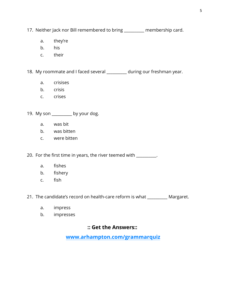17. Neither Jack nor Bill remembered to bring \_\_\_\_\_\_\_\_\_\_ membership card.

- a. they're
- b. his
- c. their

18. My roommate and I faced several \_\_\_\_\_\_\_\_\_ during our freshman year.

- a. crisises
- b. crisis
- c. crises

19. My son \_\_\_\_\_\_\_\_\_\_ by your dog.

- a. was bit
- b. was bitten
- c. were bitten

20. For the first time in years, the river teemed with \_\_\_\_\_\_\_\_\_.

- a. fishes
- b. fishery
- c. fish

21. The candidate's record on health-care reform is what \_\_\_\_\_\_\_\_\_\_ Margaret.

- a. impress
- b. impresses

#### **:: Get the Answers::**

**[www.arhampton.com](https://www.arhampton.com/grammarquiz)/grammarquiz**